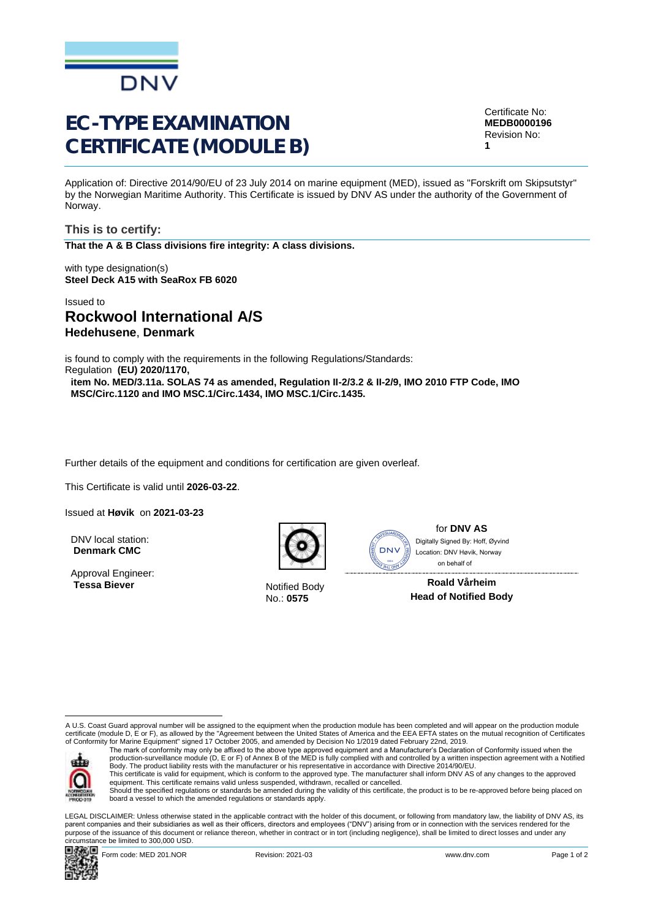

# EC-TYPE EXAMINATION CERTIFICATE (MODULE B)

Application of: Directive 2014/90/EU of 23 July 2014 on marine equipment (MED), issued as "Forskrift om Skipsutstyr" by the Norwegian Maritime Authority. This Certificate is issued by DNV AS under the authority of the Government of Norway.

**This is to certify: That the A & B Class divisions fire integrity: A class divisions.**

with type designation(s) **Steel Deck A15 with SeaRox FB 6020**

## Issued to **Rockwool International A/S Hedehusene**, **Denmark**

is found to comply with the requirements in the following Regulations/Standards: Regulation **(EU) 2020/1170,** 

**item No. MED/3.11a. SOLAS 74 as amended, Regulation II-2/3.2 & II-2/9, IMO 2010 FTP Code, IMO MSC/Circ.1120 and IMO MSC.1/Circ.1434, IMO MSC.1/Circ.1435.**

Further details of the equipment and conditions for certification are given overleaf.

This Certificate is valid until **2026-03-22**.

Issued at **Høvik** on **2021-03-23**

DNV local station: **Denmark CMC**

Approval Engineer: **Tessa Biever** Notified Body



No.: **0575**

**DNV AS JHL ONE** 

for **DNV AS** on behalf ofDigitally Signed By: Hoff, Øyvind Location: DNV Høvik, Norway

**Roald Vårheim Head of Notified Body**

A U.S. Coast Guard approval number will be assigned to the equipment when the production module has been completed and will appear on the production module certificate (module D, E or F), as allowed by the "Agreement between the United States of America and the EEA EFTA states on the mutual recognition of Certificates<br>of Conformity for Marine Equipment" signed 17 October 2005



The mark of conformity may only be affixed to the above type approved equipment and a Manufacturer's Declaration of Conformity issued when the<br>production-surveillance module (D, E or F) of Annex B of the MED is fully compl Body. The product liability rests with the manufacturer or his representative in accordance with Directive 2014/90/EU.

This certificate is valid for equipment, which is conform to the approved type. The manufacturer shall inform DNV AS of any changes to the approved<br>equipment. This certificate remains valid unless suspended, withdrawn, rec

Should the specified regulations or standards be amended during the validity of this certificate, the product is to be re-approved before being placed on board a vessel to which the amended regulations or standards apply.

LEGAL DISCLAIMER: Unless otherwise stated in the applicable contract with the holder of this document, or following from mandatory law, the liability of DNV AS, its parent companies and their subsidiaries as well as their officers, directors and employees ("DNV") arising from or in connection with the services rendered for the purpose of the issuance of this document or reliance thereon, whether in contract or in tort (including negligence), shall be limited to direct losses and under any circumstance be limited to 300,000 USD.



Certificate No: **MEDB0000196** Revision No: **1**